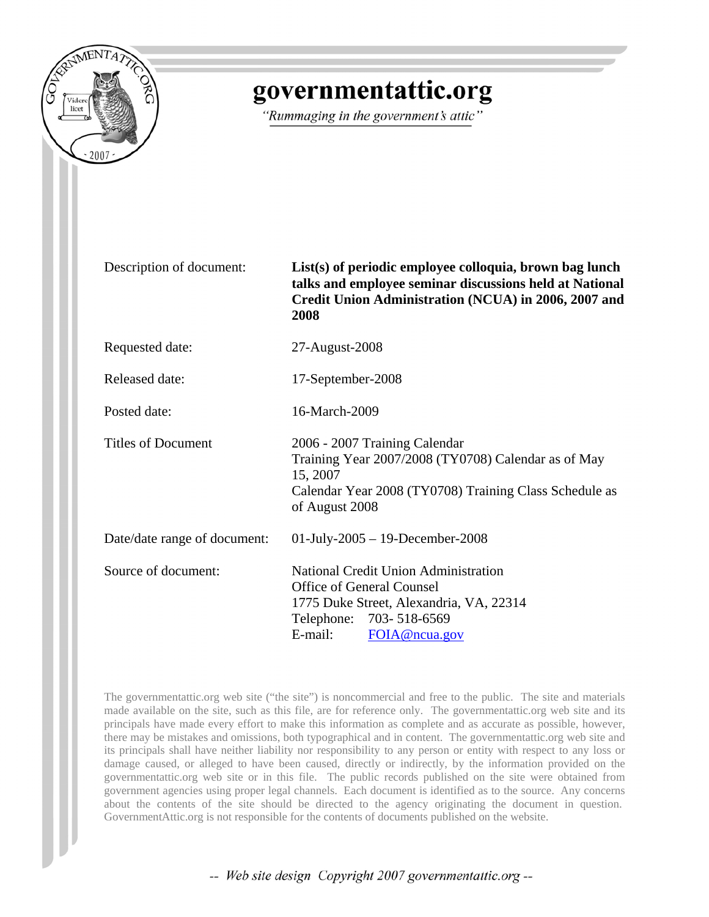

# governmentattic.org

"Rummaging in the government's attic"

Description of document: **List(s) of periodic employee colloquia, brown bag lunch talks and employee seminar discussions held at National Credit Union Administration (NCUA) in 2006, 2007 and 2008**

Requested date: 27-August-2008

Released date: 17-September-2008

Posted date: 16-March-2009

Titles of Document 2006 - 2007 Training Calendar Training Year 2007/2008 (TY0708) Calendar as of May 15, 2007 Calendar Year 2008 (TY0708) Training Class Schedule as of August 2008

Date/date range of document: 01-July-2005 – 19-December-2008 Source of document: National Credit Union Administration Office of General Counsel 1775 Duke Street, Alexandria, VA, 22314 Telephone: 703- 518-6569 E-mail: [FOIA@ncua.gov](mailto:FOIA@ncua.gov)

The governmentattic.org web site ("the site") is noncommercial and free to the public. The site and materials made available on the site, such as this file, are for reference only. The governmentattic.org web site and its principals have made every effort to make this information as complete and as accurate as possible, however, there may be mistakes and omissions, both typographical and in content. The governmentattic.org web site and its principals shall have neither liability nor responsibility to any person or entity with respect to any loss or damage caused, or alleged to have been caused, directly or indirectly, by the information provided on the governmentattic.org web site or in this file. The public records published on the site were obtained from government agencies using proper legal channels. Each document is identified as to the source. Any concerns about the contents of the site should be directed to the agency originating the document in question. GovernmentAttic.org is not responsible for the contents of documents published on the website.

-- Web site design Copyright 2007 governmentattic.org --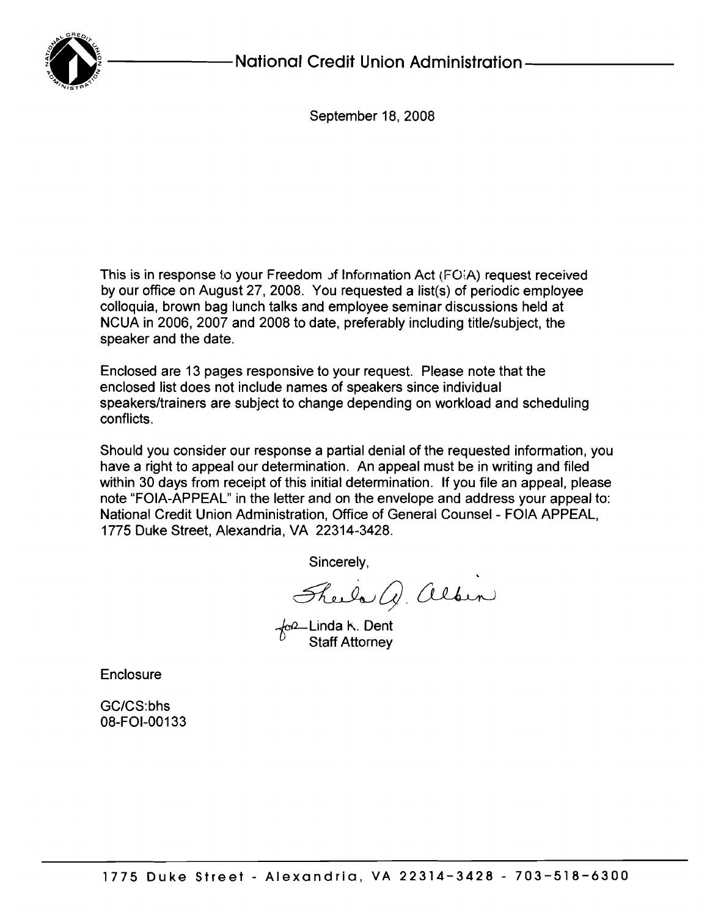

September 18, 2008

This is in response to your Freedom of Information Act (FO(A) request received by our office on August 27, 2008. You requested a Iist(s) of periodic employee colloquia, brown bag lunch talks and employee seminar discussions held at NCUA in 2006, 2007 and 2008 to date, preferably including title/subject, the speaker and the date.

Enclosed are 13 pages responsive to your request. Please note that the enclosed list does not include names of speakers since individual speakers/trainers are subject to change depending on workload and scheduling conflicts.

Should you consider our response a partial denial of the requested information, you have a right to appeal our determination. An appeal must be in writing and filed within 30 days from receipt of this initial determination. If you file an appeal, please note "FOIA-APPEAL" in the letter and on the envelope and address your appeal to: National Credit Union Administration, Office of General Counsel - FOIA APPEAL, 1775 Duke Street, Alexandria, VA 22314-3428.

Sincerely,

There Q. albin

Linda K. Dent Staff Attorney

Enclosure

GC/CS:bhs 08-FOI-00133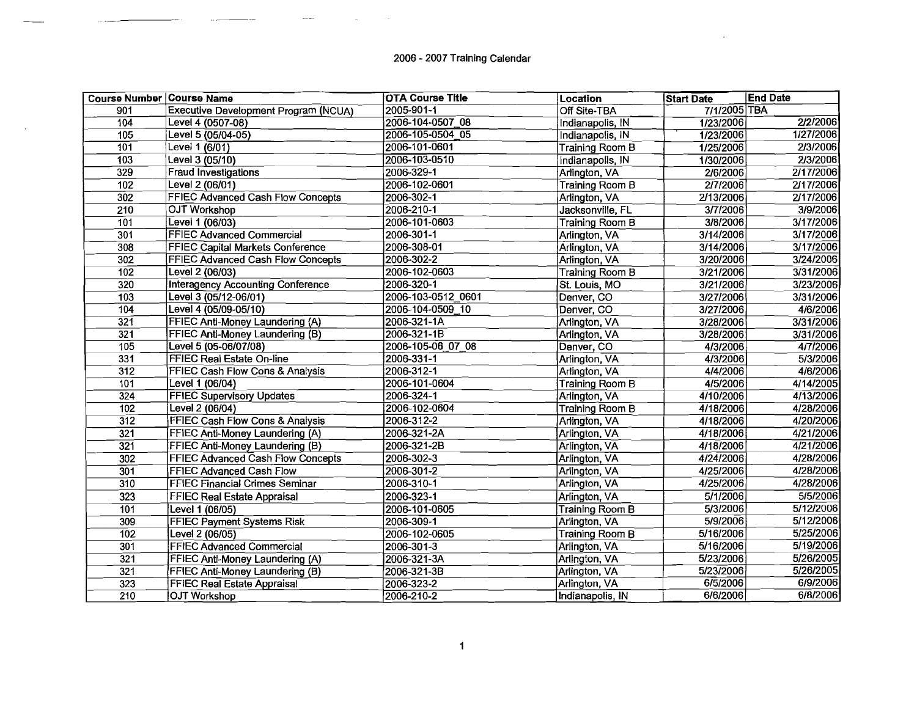# 2006 - 2007 Training Calendar

 $\overline{a}$ 

| <b>Course Number Course Name</b> |                                          | <b>OTA Course Title</b> | Location               | <b>Start Date</b> | <b>End Date</b> |
|----------------------------------|------------------------------------------|-------------------------|------------------------|-------------------|-----------------|
| 901                              | Executive Development Program (NCUA)     | 2005-901-1              | Off Site-TBA           | 7/1/2005 TBA      |                 |
| 104                              | Level 4 (0507-08)                        | 2006-104-0507 08        | Indianapolis, IN       | 1/23/2006         | 2/2/2006        |
| 105                              | Level 5 (05/04-05)                       | 2006-105-0504 05        | Indianapolis, IN       | 1/23/2006         | 1/27/2006       |
| 101                              | Level 1 (6/01)                           | 2006-101-0601           | Training Room B        | 1/25/2006         | 2/3/2006        |
| $\frac{1}{103}$                  | Level 3 (05/10)                          | 2006-103-0510           | Indianapolis, IN       | 1/30/2006         | 2/3/2006        |
| 329                              | Fraud Investigations                     | 2006-329-1              | Arlington, VA          | 2/6/2006          | 2/17/2006       |
| 102                              | Level 2 (06/01)                          | 2006-102-0601           | Training Room B        | 2/7/2006          | 2/17/2006       |
| 302                              | <b>FFIEC Advanced Cash Flow Concepts</b> | 2006-302-1              | Arlington, VA          | 2/13/2006         | 2/17/2006       |
| 210                              | OJT Workshop                             | 2006-210-1              | Jacksonville, FL       | 3/7/2006          | 3/9/2006        |
| 101                              | Level 1 (06/03)                          | 2006-101-0603           | <b>Training Room B</b> | 3/8/2006          | 3/17/2006       |
| 301                              | <b>FFIEC Advanced Commercial</b>         | 2006-301-1              | Arlington, VA          | 3/14/2006         | 3/17/2006       |
| $\overline{308}$                 | FFIEC Capital Markets Conference         | 2006-308-01             | Arlington, VA          | 3/14/2006         | 3/17/2006       |
| $\overline{302}$                 | <b>FFIEC Advanced Cash Flow Concepts</b> | 2006-302-2              | Arlington, VA          | 3/20/2006         | 3/24/2006       |
| 102                              | Level 2 (06/03)                          | 2006-102-0603           | Training Room B        | 3/21/2006         | 3/31/2006       |
| $\overline{320}$                 | <b>Interagency Accounting Conference</b> | 2006-320-1              | St. Louis, MO          | 3/21/2006         | 3/23/2006       |
| 103                              | Level 3 (05/12-06/01)                    | 2006-103-0512 0601      | Denver, CO             | 3/27/2006         | 3/31/2006       |
| 104                              | Level 4 (05/09-05/10)                    | 2006-104-0509 10        | Denver, CO             | 3/27/2006         | 4/6/2006        |
| 321                              | <b>FFIEC Anti-Money Laundering (A)</b>   | $2006 - 321 - 1A$       | Arlington, VA          | 3/28/2006         | 3/31/2006       |
| 321                              | FFIEC Anti-Money Laundering (B)          | 2006-321-1B             | Arlington, VA          | 3/28/2006         | 3/31/2006       |
| 105                              | Level 5 $(05-06/07/08)$                  | 2006-105-06 07 08       | Denver, CO             | 4/3/2006          | 4/7/2006        |
| 331                              | FFIEC Real Estate On-line                | 2006-331-1              | Arlington, VA          | 4/3/2006          | 5/3/2006        |
| $\overline{312}$                 | FFIEC Cash Flow Cons & Analysis          | 2006-312-1              | Arlington, VA          | 4/4/2006          | 4/6/2006        |
| 101                              | Level 1 (06/04)                          | 2006-101-0604           | Training Room B        | 4/5/2006          | 4/14/2005       |
| 324                              | <b>FFIEC Supervisory Updates</b>         | 2006-324-1              | Arlington, VA          | 4/10/2006         | 4/13/2006       |
| 102                              | Level 2 (06/04)                          | 2006-102-0604           | <b>Training Room B</b> | 4/18/2006         | 4/28/2006       |
| 312                              | FFIEC Cash Flow Cons & Analysis          | 2006-312-2              | Arlington, VA          | 4/18/2006         | 4/20/2006       |
| 321                              | FFIEC Anti-Money Laundering (A)          | 2006-321-2A             | Arlington, VA          | 4/18/2006         | 4/21/2006       |
| 321                              | FFIEC Anti-Money Laundering (B)          | 2006-321-2B             | Arlington, VA          | 4/18/2006         | 4/21/2006       |
| 302                              | <b>FFIEC Advanced Cash Flow Concepts</b> | 2006-302-3              | Arlington, VA          | 4/24/2006         | 4/28/2006       |
| 301                              | FFIEC Advanced Cash Flow                 | 2006-301-2              | Arlington, VA          | 4/25/2006         | 4/28/2006       |
| $\overline{310}$                 | <b>FFIEC Financial Crimes Seminar</b>    | 2006-310-1              | Arlington, VA          | 4/25/2006         | 4/28/2006       |
| 323                              | FFIEC Real Estate Appraisal              | 2006-323-1              | Arlington, VA          | 5/1/2006          | 5/5/2006        |
| 101                              | Level 1 (06/05)                          | 2006-101-0605           | Training Room B        | 5/3/2006          | 5/12/2006       |
| 309                              | <b>FFIEC Payment Systems Risk</b>        | $2006 - 309 - 1$        | Arlington, VA          | 5/9/2006          | 5/12/2006       |
| $\overline{102}$                 | Level 2 (06/05)                          | 2006-102-0605           | <b>Training Room B</b> | 5/16/2006         | 5/25/2006       |
| 301                              | <b>FFIEC Advanced Commercial</b>         | 2006-301-3              | Arlington, VA          | 5/16/2006         | 5/19/2006       |
| $\overline{321}$                 | FFIEC Anti-Money Laundering (A)          | 2006-321-3A             | Arlington, VA          | 5/23/2006         | 5/26/2005       |
| 321                              | <b>FFIEC Anti-Money Laundering (B)</b>   | 2006-321-3B             | Arlington, VA          | 5/23/2006         | 5/26/2005       |
| 323                              | <b>FFIEC Real Estate Appraisal</b>       | 2006-323-2              | Arlington, VA          | 6/5/2006          | 6/9/2006        |
| 210                              | <b>OJT Workshop</b>                      | 2006-210-2              | Indianapolis, IN       | 6/6/2006          | 6/8/2006        |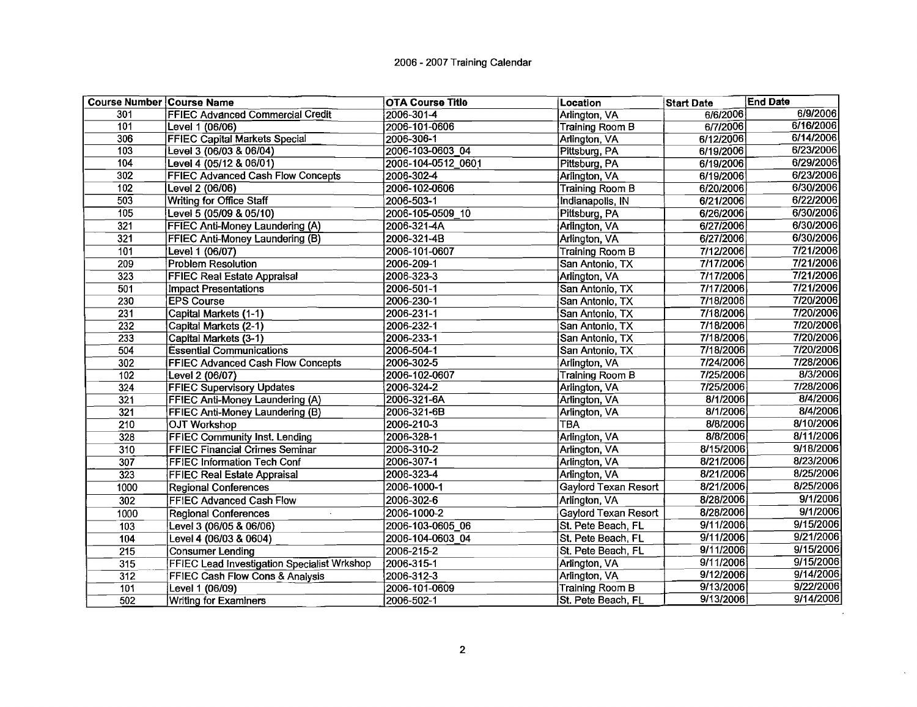| <b>Course Number Course Name</b> |                                                    | <b>OTA Course Title</b> | Location                    | <b>Start Date</b> | <b>End Date</b> |
|----------------------------------|----------------------------------------------------|-------------------------|-----------------------------|-------------------|-----------------|
| 301                              | <b>FFIEC Advanced Commercial Credit</b>            | 2006-301-4              | Arlington, VA               | 6/6/2006          | 6/9/2006        |
| 101                              | Level 1 (06/06)                                    | 2006-101-0606           | <b>Training Room B</b>      | 6/7/2006          | 6/16/2006       |
| 306                              | FFIEC Capital Markets Special                      | 2006-306-1              | Arlington, VA               | 6/12/2006         | 6/14/2006       |
| 103                              | Level 3 (06/03 & 06/04)                            | 2006-103-0603 04        | Pittsburg, PA               | 6/19/2006         | 6/23/2006       |
| 104                              | Level 4 (05/12 & 06/01)                            | 2006-104-0512 0601      | Pittsburg, PA               | 6/19/2006         | 6/29/2006       |
| 302                              | FFIEC Advanced Cash Flow Concepts                  | 2006-302-4              | Arlington, VA               | 6/19/2006         | 6/23/2006       |
| 102                              | Level 2 (06/06)                                    | 2006-102-0606           | <b>Training Room B</b>      | 6/20/2006         | 6/30/2006       |
| $50\overline{3}$                 | Writing for Office Staff                           | 2006-503-1              | Indianapolis, IN            | 6/21/2006         | 6/22/2006       |
| 105                              | Level 5 (05/09 & 05/10)                            | 2006-105-0509 10        | Pittsburg, PA               | 6/26/2006         | 6/30/2006       |
| 321                              | FFIEC Anti-Money Laundering (A)                    | 2006-321-4A             | Arlington, VA               | 6/27/2006         | 6/30/2006       |
| 321                              | FFIEC Anti-Money Laundering (B)                    | 2006-321-4B             | Arlington, VA               | 6/27/2006         | 6/30/2006       |
| 101                              | Level 1 (06/07)                                    | 2006-101-0607           | Training Room B             | 7/12/2006         | 7/21/2006       |
| $\overline{209}$                 | <b>Problem Resolution</b>                          | 2006-209-1              | San Antonio, TX             | 7/17/2006         | 7/21/2006       |
| 323                              | <b>FFIEC Real Estate Appraisal</b>                 | 2006-323-3              | Arlington, VA               | 7/17/2006         | 7/21/2006       |
| 501                              | <b>Impact Presentations</b>                        | 2006-501-1              | San Antonio, TX             | 7/17/2006         | 7/21/2006       |
| 230                              | <b>EPS Course</b>                                  | 2006-230-1              | San Antonio, TX             | 7/18/2006         | 7/20/2006       |
| 231                              | Capital Markets (1-1)                              | 2006-231-1              | San Antonio, TX             | 7/18/2006         | 7/20/2006       |
| $\overline{232}$                 | Capital Markets (2-1)                              | 2006-232-1              | San Antonio, TX             | 7/18/2006         | 7/20/2006       |
| 233                              | Capital Markets (3-1)                              | 2006-233-1              | San Antonio, TX             | 7/18/2006         | 7/20/2006       |
| 504                              | <b>Essential Communications</b>                    | 2006-504-1              | San Antonio, TX             | 7/18/2006         | 7/20/2006       |
| 302                              | <b>FFIEC Advanced Cash Flow Concepts</b>           | 2006-302-5              | Arlington, VA               | 7/24/2006         | 7/28/2006       |
| 102                              | Level 2 (06/07)                                    | 2006-102-0607           | <b>Training Room B</b>      | 7/25/2006         | 8/3/2006        |
| 324                              | <b>FFIEC Supervisory Updates</b>                   | 2006-324-2              | Arlington, VA               | 7/25/2006         | 7/28/2006       |
| 321                              | <b>FFIEC Anti-Money Laundering (A)</b>             | 2006-321-6A             | Arlington, VA               | 8/1/2006          | 8/4/2006        |
| 321                              | FFIEC Anti-Money Laundering (B)                    | 2006-321-6B             | Arlington, VA               | 8/1/2006          | 8/4/2006        |
| 210                              | <b>OJT Workshop</b>                                | 2006-210-3              | <b>TBA</b>                  | 8/8/2006          | 8/10/2006       |
| 328                              | <b>FFIEC Community Inst. Lending</b>               | 2006-328-1              | Arlington, VA               | 8/8/2006          | 8/11/2006       |
| 310                              | <b>FFIEC Financial Crimes Seminar</b>              | 2006-310-2              | Arlington, VA               | 8/15/2006         | 9/18/2006       |
| 307                              | <b>FFIEC Information Tech Conf</b>                 | 2006-307-1              | Arlington, VA               | 8/21/2006         | 8/23/2006       |
| 323                              | <b>FFIEC Real Estate Appraisal</b>                 | 2006-323-4              | Arlington, VA               | 8/21/2006         | 8/25/2006       |
| 1000                             | <b>Regional Conferences</b>                        | 2006-1000-1             | <b>Gaylord Texan Resort</b> | 8/21/2006         | 8/25/2006       |
| 302                              | FFIEC Advanced Cash Flow                           | 2006-302-6              | Arlington, VA               | 8/28/2006         | 9/1/2006        |
| 1000                             | <b>Regional Conferences</b>                        | 2006-1000-2             | <b>Gaylord Texan Resort</b> | 8/28/2006         | 9/1/2006        |
| 103                              | Level 3 (06/05 & 06/06)                            | 2006-103-0605 06        | St. Pete Beach, FL          | 9/11/2006         | 9/15/2006       |
| 104                              | Level 4 (06/03 & 0604)                             | 2006-104-0603 04        | St. Pete Beach, FL          | 9/11/2006         | 9/21/2006       |
| $\overline{215}$                 | <b>Consumer Lending</b>                            | 2006-215-2              | St. Pete Beach, FL          | 9/11/2006         | 9/15/2006       |
| 315                              | <b>FFIEC Lead Investigation Specialist Wrkshop</b> | 2006-315-1              | Arlington, VA               | 9/11/2006         | 9/15/2006       |
| 312                              | FFIEC Cash Flow Cons & Analysis                    | 2006-312-3              | Arlington, VA               | 9/12/2006         | 9/14/2006       |
| 101                              | Level 1 (06/09)                                    | 2006-101-0609           | <b>Training Room B</b>      | 9/13/2006         | 9/22/2006       |
| $\overline{502}$                 | <b>Writing for Examiners</b>                       | 2006-502-1              | St. Pete Beach, FL          | 9/13/2006         | 9/14/2006       |

 $\mathcal{L}$ 

 $\sim$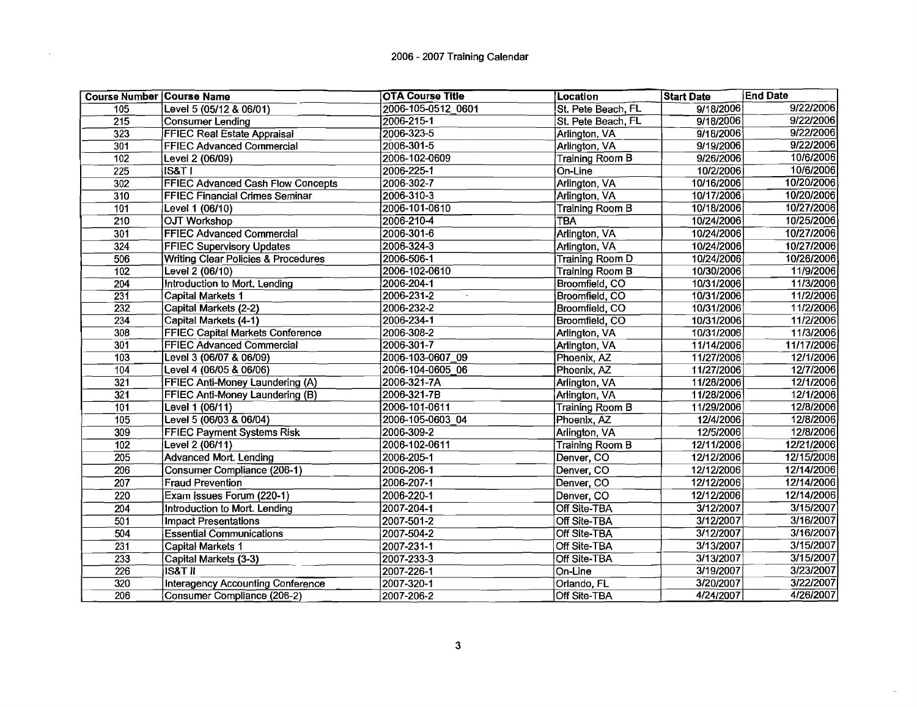# 2006 - 2007 Training Calendar

 $\sim$ 

|                  | <b>Course Number Course Name</b>               | <b>OTA Course Title</b>       | Location               | <b>Start Date</b> | <b>End Date</b> |
|------------------|------------------------------------------------|-------------------------------|------------------------|-------------------|-----------------|
| 105              | Level 5 (05/12 & 06/01)                        | 2006-105-0512 0601            | St. Pete Beach, FL     | 9/18/2006         | 9/22/2006       |
| 215              | Consumer Lending                               | 2006-215-1                    | St. Pete Beach, FL     | 9/18/2006         | 9/22/2006       |
| 323              | <b>FFIEC Real Estate Appraisal</b>             | 2006-323-5                    | Arlington, VA          | 9/18/2006         | 9/22/2006       |
| 301              | <b>FFIEC Advanced Commercial</b>               | 2006-301-5                    | Arlington, VA          | 9/19/2006         | 9/22/2006       |
| 102              | Level 2 (06/09)                                | 2006-102-0609                 | <b>Training Room B</b> | 9/26/2006         | 10/6/2006       |
| $\overline{225}$ | <b>IS&amp;T I</b>                              | 2006-225-1                    | On-Line                | 10/2/2006         | 10/6/2006       |
| $\overline{302}$ | <b>FFIEC Advanced Cash Flow Concepts</b>       | 2006-302-7                    | Arlington, VA          | 10/16/2006        | 10/20/2006      |
| $\overline{310}$ | <b>FFIEC Financial Crimes Seminar</b>          | $2006 - 310 - 3$              | Arlington, VA          | 10/17/2006        | 10/20/2006      |
| 101              | Level 1 (06/10)                                | 2006-101-0610                 | Training Room B        | 10/18/2006        | 10/27/2006      |
| $\overline{210}$ | <b>OJT Workshop</b>                            | 2006-210-4                    | TBA                    | 10/24/2006        | 10/25/2006      |
| 301              | FFIEC Advanced Commercial                      | 2006-301-6                    | Arlington, VA          | 10/24/2006        | 10/27/2006      |
| $\overline{324}$ | <b>FFIEC Supervisory Updates</b>               | 2006-324-3                    | Arlington, VA          | 10/24/2006        | 10/27/2006      |
| 506              | <b>Writing Clear Policies &amp; Procedures</b> | 2006-506-1                    | <b>Training Room D</b> | 10/24/2006        | 10/26/2006      |
| 102              | Level 2 (06/10)                                | 2006-102-0610                 | Training Room B        | 10/30/2006        | 11/9/2006       |
| 204              | Introduction to Mort. Lending                  | 2006-204-1                    | Broomfield, CO         | 10/31/2006        | 11/3/2006       |
| $\overline{231}$ | <b>Capital Markets 1</b>                       | $2006 - 231 - 2$<br>$\bullet$ | Broomfield, CO         | 10/31/2006        | 11/2/2006       |
| 232              | Capital Markets (2-2)                          | 2006-232-2                    | Broomfield, CO         | 10/31/2006        | 11/2/2006       |
| $\overline{234}$ | Capital Markets (4-1)                          | 2006-234-1                    | <b>Broomfield, CO</b>  | 10/31/2006        | 11/2/2006       |
| 308              | <b>FFIEC Capital Markets Conference</b>        | 2006-308-2                    | Arlington, VA          | 10/31/2006        | 11/3/2006       |
| 301              | FFIEC Advanced Commercial                      | 2006-301-7                    | Arlington, VA          | 11/14/2006        | 11/17/2006      |
| 103              | Level 3 (06/07 & 06/09)                        | 2006-103-0607 09              | Phoenix, AZ            | 11/27/2006        | 12/1/2006       |
| 104              | Level 4 (06/05 & 06/06)                        | 2006-104-0605 06              | Phoenix, AZ            | 11/27/2006        | 12/7/2006       |
| $\overline{321}$ | FFIEC Anti-Money Laundering (A)                | 2006-321-7A                   | Arlington, VA          | 11/28/2006        | 12/1/2006       |
| $\overline{321}$ | FFIEC Anti-Money Laundering (B)                | 2006-321-7B                   | Arlington, VA          | 11/28/2006        | 12/1/2006       |
| $\overline{101}$ | Level 1 (06/11)                                | 2006-101-0611                 | Training Room B        | 11/29/2006        | 12/8/2006       |
| 105              | Level 5 (06/03 & 06/04)                        | 2006-105-0603 04              | Phoenix, AZ            | 12/4/2006         | 12/8/2006       |
| 309              | <b>FFIEC Payment Systems Risk</b>              | 2006-309-2                    | Arlington, VA          | 12/5/2006         | 12/8/2006       |
| $\overline{102}$ | Level 2 (06/11)                                | 2006-102-0611                 | <b>Training Room B</b> | 12/11/2006        | 12/21/2006      |
| $\overline{205}$ | <b>Advanced Mort. Lending</b>                  | 2006-205-1                    | Denver, CO             | 12/12/2006        | 12/15/2006      |
| $\overline{206}$ | <b>Consumer Compliance (206-1)</b>             | 2006-206-1                    | Denver, CO             | 12/12/2006        | 12/14/2006      |
| 207              | <b>Fraud Prevention</b>                        | 2006-207-1                    | Denver, CO             | 12/12/2006        | 12/14/2006      |
| 220              | Exam issues Forum (220-1)                      | 2006-220-1                    | Denver, CO             | 12/12/2006        | 12/14/2006      |
| 204              | Introduction to Mort. Lending                  | 2007-204-1                    | Off Site-TBA           | 3/12/2007         | 3/15/2007       |
| $\overline{501}$ | <b>Impact Presentations</b>                    | 2007-501-2                    | Off Site-TBA           | 3/12/2007         | 3/16/2007       |
| 504              | <b>Essential Communications</b>                | 2007-504-2                    | Off Site-TBA           | 3/12/2007         | 3/16/2007       |
| 231              | Capital Markets 1                              | 2007-231-1                    | Off Site-TBA           | 3/13/2007         | 3/15/2007       |
| $\overline{233}$ | Capital Markets (3-3)                          | 2007-233-3                    | Off Site-TBA           | 3/13/2007         | 3/15/2007       |
| 226              | <b>IS&amp;T II</b>                             | 2007-226-1                    | On-Line                | 3/19/2007         | 3/23/2007       |
| $\overline{320}$ | Interagency Accounting Conference              | 2007-320-1                    | Orlando, FL            | 3/20/2007         | 3/22/2007       |
| 206              | Consumer Compliance (206-2)                    | 2007-206-2                    | <b>Off Site-TBA</b>    | 4/24/2007         | 4/26/2007       |

 $\bar{\nu}$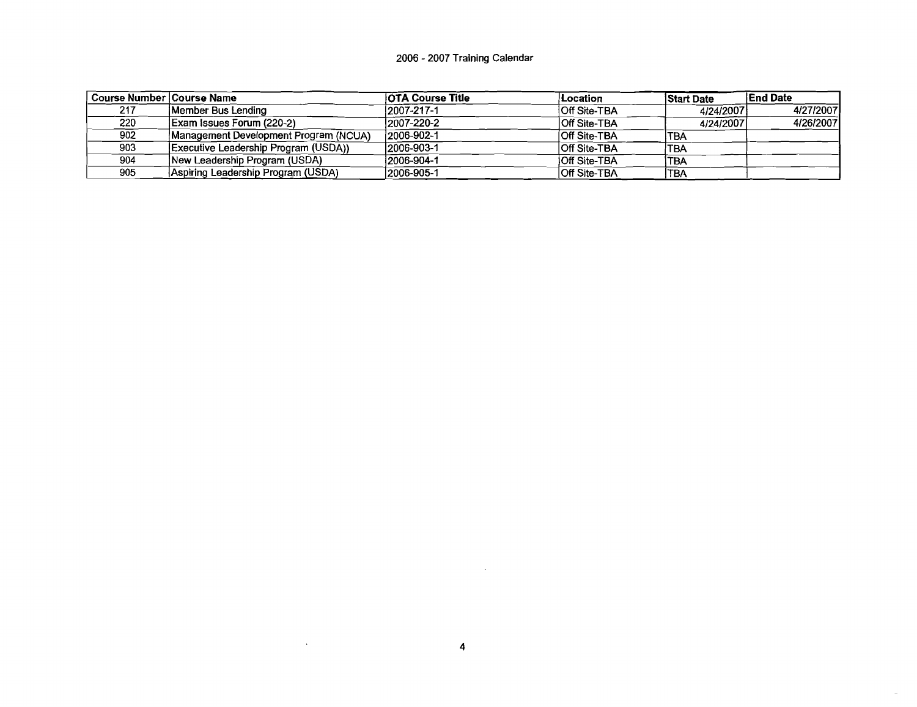# 2006 - 2007 Training Calendar

| Course Number   Course Name |                                       | <b>OTA Course Title</b> | /Location           | <b>Start Date</b> | <b>IEnd Date</b> |
|-----------------------------|---------------------------------------|-------------------------|---------------------|-------------------|------------------|
| 217                         | Member Bus Lendina                    | $12007 - 217 - 1$       | <b>Off Site-TBA</b> | 4/24/2007         | 4/27/2007        |
| 220                         | Exam Issues Forum (220-2)             | 2007-220-2              | <b>Off Site-TBA</b> | 4/24/2007         | 4/26/2007        |
| 902                         | Management Development Program (NCUA) | 2006-902-1              | <b>Off Site-TBA</b> | 'TBA              |                  |
| 903                         | Executive Leadership Program (USDA))  | 12006-903-1             | <b>Off Site-TBA</b> | TBA               |                  |
| 904                         | New Leadership Program (USDA)         | 12006-904-1             | <b>Off Site-TBA</b> | TBA               |                  |
| 905                         | Aspiring Leadership Program (USDA)    | 2006-905-1              | <b>Off Site-TBA</b> | <b>TBA</b>        |                  |

 $\mathcal{L}(\mathcal{A})$  and  $\mathcal{L}(\mathcal{A})$  . The set of  $\mathcal{L}(\mathcal{A})$ 

 $\sim$ 

 $\omega$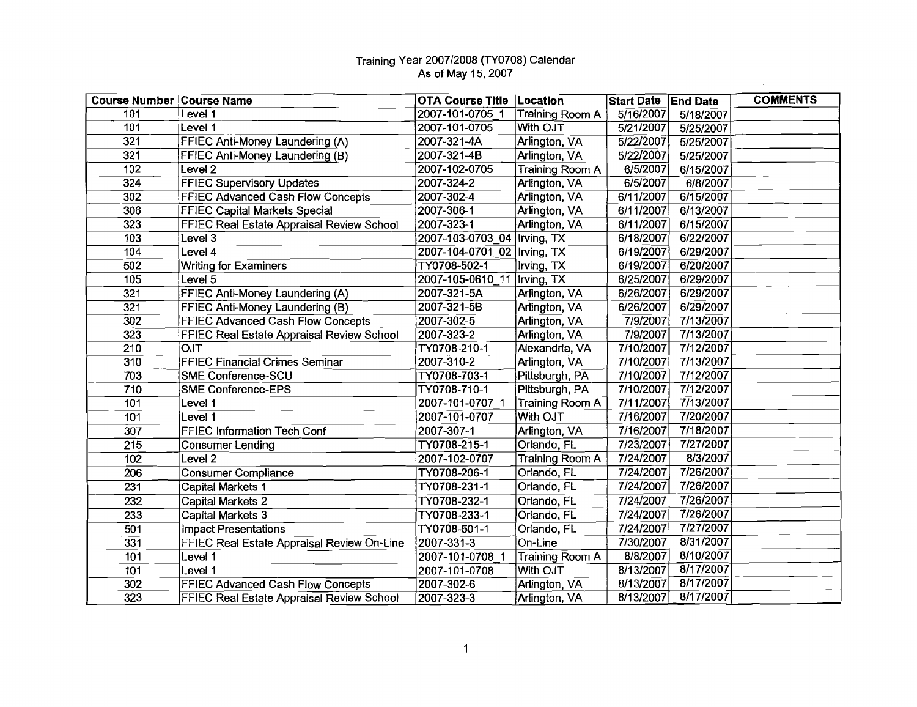$\sim 10^{-1}$ 

| <b>Course Number Course Name</b> |                                            | <b>OTA Course Title   Location</b> |                        | Start Date End Date    |           | <b>COMMENTS</b> |
|----------------------------------|--------------------------------------------|------------------------------------|------------------------|------------------------|-----------|-----------------|
| 101                              | Level 1                                    | 2007-101-0705 1                    | Training Room A        | 5/16/2007              | 5/18/2007 |                 |
| 101                              | Level 1                                    | 2007-101-0705                      | With OJT               | 5/21/2007              | 5/25/2007 |                 |
| 321                              | <b>FFIEC Anti-Money Laundering (A)</b>     | 2007-321-4A                        | Arlington, VA          | 5/22/2007              | 5/25/2007 |                 |
| 321                              | FFIEC Anti-Money Laundering (B)            | 2007-321-4B                        | Arlington, VA          | 5/22/2007              | 5/25/2007 |                 |
| 102                              | Level <sub>2</sub>                         | 2007-102-0705                      | Training Room A        | 6/5/2007               | 6/15/2007 |                 |
| 324                              | <b>FFIEC Supervisory Updates</b>           | 2007-324-2                         | Arlington, VA          | 6/5/2007               | 6/8/2007  |                 |
| 302                              | <b>FFIEC Advanced Cash Flow Concepts</b>   | 2007-302-4                         | Arlington, VA          | $\overline{6/11/2007}$ | 6/15/2007 |                 |
| 306                              | <b>FFIEC Capital Markets Special</b>       | 2007-306-1                         | Arlington, VA          | 6/11/2007              | 6/13/2007 |                 |
| 323                              | FFIEC Real Estate Appraisal Review School  | 2007-323-1                         | Arlington, VA          | 6/11/2007              | 6/15/2007 |                 |
| 103                              | Level 3                                    | 2007-103-0703 04   Irving, TX      |                        | 6/18/2007              | 6/22/2007 |                 |
| 104                              | Level 4                                    | 2007-104-0701 02   Irving, TX      |                        | 6/19/2007              | 6/29/2007 |                 |
| 502                              | <b>Writing for Examiners</b>               | TY0708-502-1                       | Irving, TX             | 6/19/2007              | 6/20/2007 |                 |
| 105                              | Level 5                                    | 2007-105-0610_11  Irving, TX       |                        | 6/25/2007              | 6/29/2007 |                 |
| 321                              | FFIEC Anti-Money Laundering (A)            | 2007-321-5A                        | Arlington, VA          | 6/26/2007              | 6/29/2007 |                 |
| 321                              | <b>FFIEC Anti-Money Laundering (B)</b>     | 2007-321-5B                        | Arlington, VA          | 6/26/2007              | 6/29/2007 |                 |
| 302                              | <b>FFIEC Advanced Cash Flow Concepts</b>   | 2007-302-5                         | Arlington, VA          | 7/9/2007               | 7/13/2007 |                 |
| $32\overline{3}$                 | FFIEC Real Estate Appraisal Review School  | 2007-323-2                         | Arlington, VA          | 7/9/2007               | 7/13/2007 |                 |
| 210                              | <b>OJT</b>                                 | TY0708-210-1                       | Alexandria, VA         | 7/10/2007              | 7/12/2007 |                 |
| 310                              | <b>FFIEC Financial Crimes Seminar</b>      | 2007-310-2                         | Arlington, VA          | 7/10/2007              | 7/13/2007 |                 |
| 703                              | <b>SME Conference-SCU</b>                  | TY0708-703-1                       | Pittsburgh, PA         | 7/10/2007              | 7/12/2007 |                 |
| 710                              | <b>SME Conference-EPS</b>                  | TY0708-710-1                       | Pittsburgh, PA         | 7/10/2007              | 7/12/2007 |                 |
| 101                              | Level 1                                    | 2007-101-0707 1                    | <b>Training Room A</b> | 7/11/2007              | 7/13/2007 |                 |
| 101                              | Level 1                                    | 2007-101-0707                      | With OJT               | 7/16/2007              | 7/20/2007 |                 |
| 307                              | FFIEC Information Tech Conf                | 2007-307-1                         | Arlington, VA          | 7/16/2007              | 7/18/2007 |                 |
| 215                              | <b>Consumer Lending</b>                    | TY0708-215-1                       | Orlando, FL            | 7/23/2007              | 7/27/2007 |                 |
| 102                              | Level <sub>2</sub>                         | 2007-102-0707                      | <b>Training Room A</b> | 7/24/2007              | 8/3/2007  |                 |
| 206                              | <b>Consumer Compliance</b>                 | TY0708-206-1                       | Orlando, FL            | 7/24/2007              | 7/26/2007 |                 |
| 231                              | <b>Capital Markets 1</b>                   | TY0708-231-1                       | Orlando, FL            | 7/24/2007              | 7/26/2007 |                 |
| $\overline{232}$                 | Capital Markets 2                          | TY0708-232-1                       | Orlando, FL            | 7/24/2007              | 7/26/2007 |                 |
| $\overline{233}$                 | <b>Capital Markets 3</b>                   | TY0708-233-1                       | Orlando, FL            | 7/24/2007              | 7/26/2007 |                 |
| 501                              | <b>Impact Presentations</b>                | TY0708-501-1                       | Orlando, FL            | 7/24/2007              | 7/27/2007 |                 |
| 331                              | FFIEC Real Estate Appraisal Review On-Line | 2007-331-3                         | On-Line                | 7/30/2007              | 8/31/2007 |                 |
| 101                              | Level 1                                    | 2007-101-0708 1                    | Training Room A        | 8/8/2007               | 8/10/2007 |                 |
| 101                              | Level 1                                    | 2007-101-0708                      | With OJT               | 8/13/2007              | 8/17/2007 |                 |
| 302                              | <b>FFIEC Advanced Cash Flow Concepts</b>   | 2007-302-6                         | Arlington, VA          | 8/13/2007              | 8/17/2007 |                 |
| 323                              | FFIEC Real Estate Appraisal Review School  | 2007-323-3                         | Arlington, VA          | 8/13/2007              | 8/17/2007 |                 |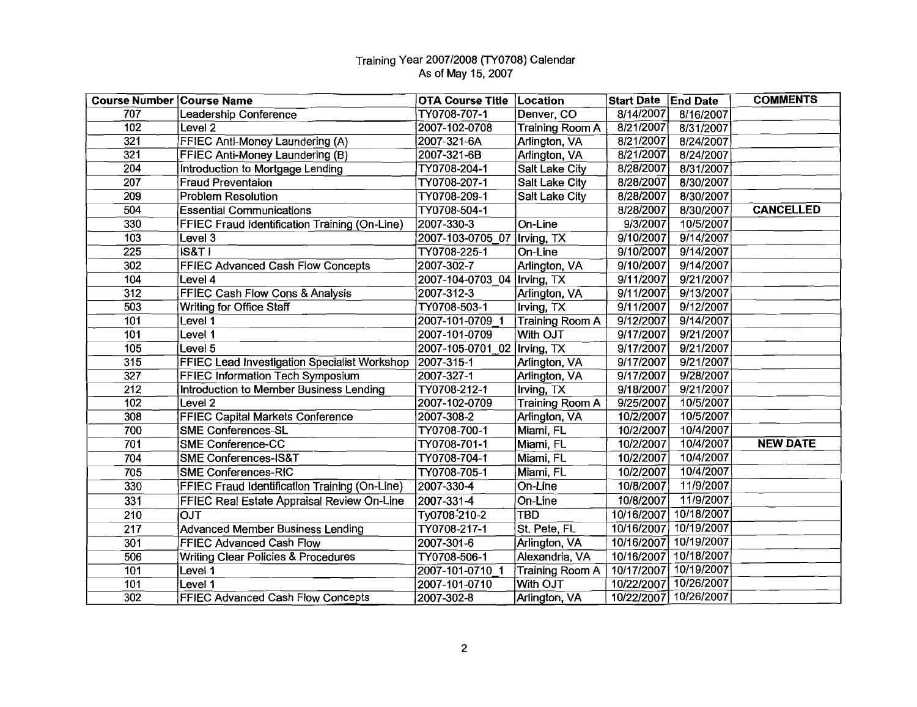| <b>Course Number Course Name</b> |                                                      | <b>OTA Course Title</b>       | Location               | Start Date   End Date |                       | <b>COMMENTS</b>  |
|----------------------------------|------------------------------------------------------|-------------------------------|------------------------|-----------------------|-----------------------|------------------|
| 707                              | Leadership Conference                                | TY0708-707-1                  | Denver, CO             | 8/14/2007             | 8/16/2007             |                  |
| 102                              | Level 2                                              | 2007-102-0708                 | <b>Training Room A</b> | 8/21/2007             | 8/31/2007             |                  |
| 321                              | FFIEC Anti-Money Laundering (A)                      | 2007-321-6A                   | Arlington, VA          | 8/21/2007             | 8/24/2007             |                  |
| 321                              | FFIEC Anti-Money Laundering (B)                      | 2007-321-6B                   | Arlington, VA          | 8/21/2007             | 8/24/2007             |                  |
| $\overline{2}04$                 | Introduction to Mortgage Lending                     | TY0708-204-1                  | Salt Lake City         | 8/28/2007             | 8/31/2007             |                  |
| 207                              | <b>Fraud Preventaion</b>                             | TY0708-207-1                  | Salt Lake City         | 8/28/2007             | 8/30/2007             |                  |
| 209                              | <b>Problem Resolution</b>                            | TY0708-209-1                  | Salt Lake City         | 8/28/2007             | 8/30/2007             |                  |
| 504                              | <b>Essential Communications</b>                      | TY0708-504-1                  |                        | 8/28/2007             | 8/30/2007             | <b>CANCELLED</b> |
| 330                              | FFIEC Fraud Identification Training (On-Line)        | 2007-330-3                    | On-Line                | 9/3/2007              | 10/5/2007             |                  |
| 103                              | Level 3                                              | 2007-103-0705 07              | Irving, TX             | 9/10/2007             | 9/14/2007             |                  |
| 225                              | S&T                                                  | TY0708-225-1                  | On-Line                | 9/10/2007             | 9/14/2007             |                  |
| 302                              | FFIEC Advanced Cash Flow Concepts                    | 2007-302-7                    | Arlington, VA          | 9/10/2007             | 9/14/2007             |                  |
| 104                              | Level 4                                              | 2007-104-0703_04   Irving, TX |                        | 9/11/2007             | 9/21/2007             |                  |
| 312                              | FFIEC Cash Flow Cons & Analysis                      | 2007-312-3                    | Arlington, VA          | 9/11/2007             | 9/13/2007             |                  |
| 503                              | Writing for Office Staff                             | TY0708-503-1                  | Irving, TX             | 9/11/2007             | 9/12/2007             |                  |
| 101                              | Level 1                                              | 2007-101-0709 1               | Training Room A        | 9/12/2007             | 9/14/2007             |                  |
| 101                              | Level 1                                              | 2007-101-0709                 | With OJT               | 9/17/2007             | 9/21/2007             |                  |
| 105                              | Level 5                                              | 2007-105-0701_02  Irving, TX  |                        | 9/17/2007             | 9/21/2007             |                  |
| 315                              | FFIEC Lead Investigation Specialist Workshop         | $2007 - 315 - 1$              | Arlington, VA          | 9/17/2007             | 9/21/2007             |                  |
| 327                              | FFIEC Information Tech Symposium                     | 2007-327-1                    | Arlington, VA          | 9/17/2007             | 9/28/2007             |                  |
| 212                              | <b>Introduction to Member Business Lending</b>       | TY0708-212-1                  | Irving, TX             | 9/18/2007             | 9/21/2007             |                  |
| 102                              | Level 2                                              | 2007-102-0709                 | Training Room A        | 9/25/2007             | 10/5/2007             |                  |
| 308                              | <b>FFIEC Capital Markets Conference</b>              | 2007-308-2                    | Arlington, VA          | 10/2/2007             | 10/5/2007             |                  |
| 700                              | <b>SME Conferences-SL</b>                            | TY0708-700-1                  | Miami, FL              | 10/2/2007             | 10/4/2007             |                  |
| 701                              | <b>SME Conference-CC</b>                             | TY0708-701-1                  | Miami, FL              | 10/2/2007             | 10/4/2007             | <b>NEW DATE</b>  |
| 704                              | <b>SME Conferences-IS&amp;T</b>                      | TY0708-704-1                  | Miami, FL              | 10/2/2007             | 10/4/2007             |                  |
| 705                              | <b>SME Conferences-RIC</b>                           | TY0708-705-1                  | Miami, FL              | 10/2/2007             | 10/4/2007             |                  |
| 330                              | <b>FFIEC Fraud Identification Training (On-Line)</b> | 2007-330-4                    | On-Line                | 10/8/2007             | 11/9/2007             |                  |
| 331                              | FFIEC Real Estate Appraisal Review On-Line           | 2007-331-4                    | On-Line                | 10/8/2007             | 11/9/2007             |                  |
| 210                              | <b>OJT</b>                                           | Ty0708-210-2                  | <b>TBD</b>             | 10/16/2007            | 10/18/2007            |                  |
| $\overline{217}$                 | <b>Advanced Member Business Lending</b>              | TY0708-217-1                  | St. Pete, FL           | 10/16/2007            | 10/19/2007            |                  |
| 301                              | <b>FFIEC Advanced Cash Flow</b>                      | 2007-301-6                    | Arlington, VA          | 10/16/2007            | 10/19/2007            |                  |
| 506                              | <b>Writing Clear Policies &amp; Procedures</b>       | TY0708-506-1                  | Alexandria, VA         | 10/16/2007            | 10/18/2007            |                  |
| 101                              | Level 1                                              | 2007-101-0710 1               | <b>Training Room A</b> | 10/17/2007            | 10/19/2007            |                  |
| 101                              | Level 1                                              | 2007-101-0710                 | With OJT               | 10/22/2007            | 10/26/2007            |                  |
| 302                              | FFIEC Advanced Cash Flow Concepts                    | 2007-302-8                    | Arlington, VA          |                       | 10/22/2007 10/26/2007 |                  |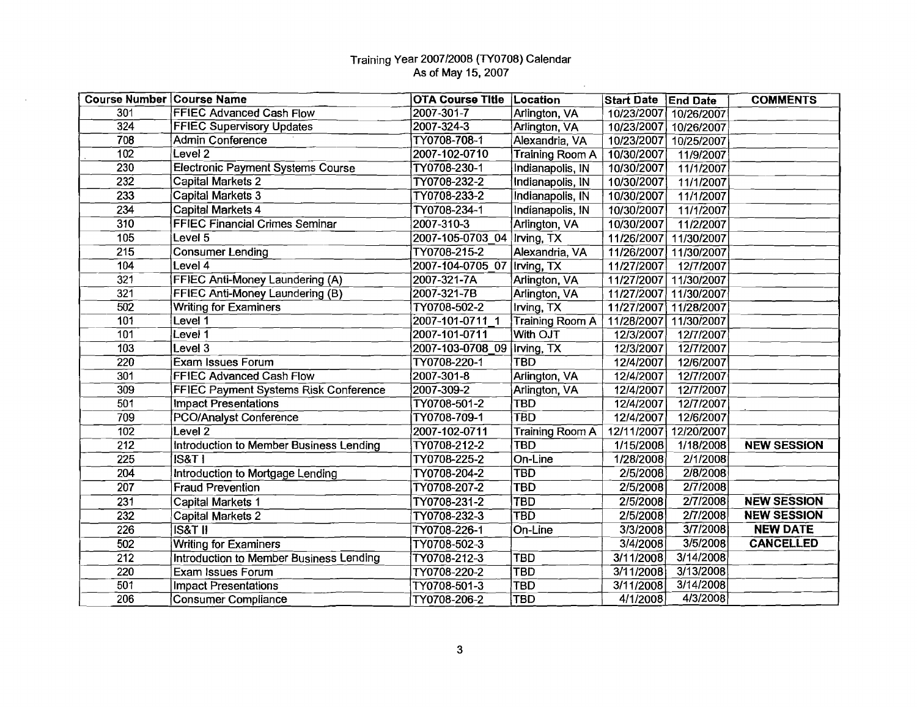$\sim$ 

 $\sim$ 

| <b>Course Number Course Name</b> |                                          | <b>OTA Course Title Location</b> |                        | <b>Start Date</b> | <b>End Date</b> | <b>COMMENTS</b>    |
|----------------------------------|------------------------------------------|----------------------------------|------------------------|-------------------|-----------------|--------------------|
| 301                              | <b>FFIEC Advanced Cash Flow</b>          | 2007-301-7                       | Arlington, VA          | 10/23/2007        | 10/26/2007      |                    |
| 324                              | <b>FFIEC Supervisory Updates</b>         | $2007 - 324 - 3$                 | Arlington, VA          | 10/23/2007        | 10/26/2007      |                    |
| 708                              | Admin Conference                         | TY0708-708-1                     | Alexandria, VA         | 10/23/2007        | 10/25/2007      |                    |
| $\overline{102}$                 | Level <sub>2</sub>                       | 2007-102-0710                    | <b>Training Room A</b> | 10/30/2007        | 11/9/2007       |                    |
| 230                              | <b>Electronic Payment Systems Course</b> | TY0708-230-1                     | Indianapolis, IN       | 10/30/2007        | 11/1/2007       |                    |
| 232                              | <b>Capital Markets 2</b>                 | TY0708-232-2                     | Indianapolis, IN       | 10/30/2007        | 11/1/2007       |                    |
| 233                              | Capital Markets 3                        | TY0708-233-2                     | Indianapolis, IN       | 10/30/2007        | 11/1/2007       |                    |
| 234                              | Capital Markets 4                        | TY0708-234-1                     | Indianapolis, IN       | 10/30/2007        | 11/1/2007       |                    |
| 310                              | <b>FFIEC Financial Crimes Seminar</b>    | 2007-310-3                       | Arlington, VA          | 10/30/2007        | 11/2/2007       |                    |
| 105                              | Level <sub>5</sub>                       | 2007-105-0703 04                 | Irving, TX             | 11/26/2007        | 11/30/2007      |                    |
| 215                              | <b>Consumer Lending</b>                  | TY0708-215-2                     | Alexandria, VA         | 11/26/2007        | 11/30/2007      |                    |
| 104                              | Level 4                                  | 2007-104-0705 07                 | Irving, TX             | 11/27/2007        | 12/7/2007       |                    |
| 321                              | FFIEC Anti-Money Laundering (A)          | 2007-321-7A                      | Arlington, VA          | 11/27/2007        | 11/30/2007      |                    |
| 321                              | FFIEC Anti-Money Laundering (B)          | 2007-321-7B                      | Arlington, VA          | 11/27/2007        | 11/30/2007      |                    |
| $\overline{502}$                 | <b>Writing for Examiners</b>             | TY0708-502-2                     | Irving, TX             | 11/27/2007        | 11/28/2007      |                    |
| 101                              | Level 1                                  | 2007-101-0711_1                  | Training Room A        | 11/28/2007        | 11/30/2007      |                    |
| 101                              | Level 1                                  | 2007-101-0711                    | With OJT               | 12/3/2007         | 12/7/2007       |                    |
| 103                              | Level $3$                                | 2007-103-0708 09                 | Irving, TX             | 12/3/2007         | 12/7/2007       |                    |
| 220                              | <b>Exam Issues Forum</b>                 | TY0708-220-1                     | TBD                    | 12/4/2007         | 12/6/2007       |                    |
| 301                              | <b>FFIEC Advanced Cash Flow</b>          | 2007-301-8                       | Arlington, VA          | 12/4/2007         | 12/7/2007       |                    |
| 309                              | FFIEC Payment Systems Risk Conference    | 2007-309-2                       | Arlington, VA          | 12/4/2007         | 12/7/2007       |                    |
| 501                              | <b>Impact Presentations</b>              | TY0708-501-2                     | TBD                    | 12/4/2007         | 12/7/2007       |                    |
| 709                              | <b>PCO/Analyst Conference</b>            | TY0708-709-1                     | <b>TBD</b>             | 12/4/2007         | 12/6/2007       |                    |
| 102                              | Level $2$                                | 2007-102-0711                    | Training Room A        | 12/11/2007        | 12/20/2007      |                    |
| 212                              | Introduction to Member Business Lending  | TY0708-212-2                     | <b>TBD</b>             | 1/15/2008         | 1/18/2008       | <b>NEW SESSION</b> |
| 225                              | <b>IS&amp;T1</b>                         | TY0708-225-2                     | On-Line                | 1/28/2008         | 2/1/2008        |                    |
| 204                              | Introduction to Mortgage Lending         | TY0708-204-2                     | <b>TBD</b>             | 2/5/2008          | 2/8/2008        |                    |
| 207                              | Fraud Prevention                         | TY0708-207-2                     | <b>TBD</b>             | 2/5/2008          | 2/7/2008        |                    |
| 231                              | Capital Markets 1                        | TY0708-231-2                     | <b>TBD</b>             | 2/5/2008          | 2/7/2008        | <b>NEW SESSION</b> |
| 232                              | <b>Capital Markets 2</b>                 | TY0708-232-3                     | <b>TBD</b>             | 2/5/2008          | 2/7/2008        | <b>NEW SESSION</b> |
| 226                              | <b>IS&amp;T II</b>                       | TY0708-226-1                     | On-Line                | 3/3/2008          | 3/7/2008        | <b>NEW DATE</b>    |
| 502                              | <b>Writing for Examiners</b>             | TY0708-502-3                     |                        | 3/4/2008          | 3/5/2008        | <b>CANCELLED</b>   |
| 212                              | Introduction to Member Business Lending  | TY0708-212-3                     | <b>TBD</b>             | 3/11/2008         | 3/14/2008       |                    |
| 220                              | Exam Issues Forum                        | TY0708-220-2                     | <b>TBD</b>             | 3/11/2008         | 3/13/2008       |                    |
| 501                              | <b>Impact Presentations</b>              | TY0708-501-3                     | <b>TBD</b>             | 3/11/2008         | 3/14/2008       |                    |
| 206                              | <b>Consumer Compliance</b>               | TY0708-206-2                     | <b>TBD</b>             | 4/1/2008          | 4/3/2008        |                    |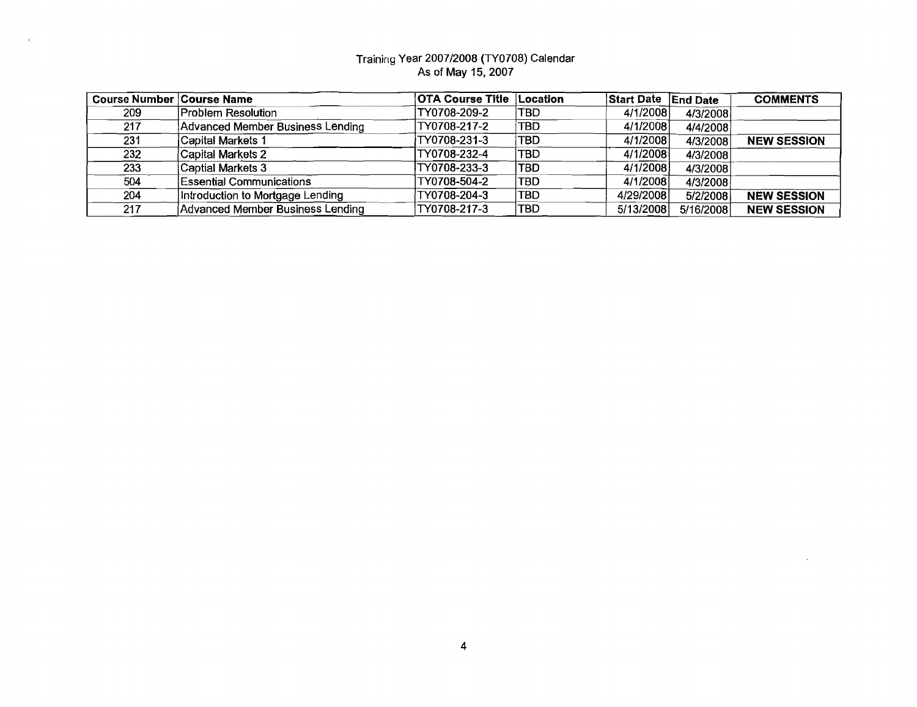$\mathbf{u}$ 

| Course Number Course Name |                                  | <b>OTA Course Title</b> | <b>Location</b> | <b>Start Date</b> | <b>End Date</b> | <b>COMMENTS</b>    |
|---------------------------|----------------------------------|-------------------------|-----------------|-------------------|-----------------|--------------------|
| 209                       | <b>Problem Resolution</b>        | TY0708-209-2            | ITBD            | 4/1/2008          | 4/3/2008        |                    |
| 217                       | Advanced Member Business Lending | TY0708-217-2            | <b>TBD</b>      | 4/1/2008          | 4/4/2008        |                    |
| 231                       | Capital Markets 1                | TY0708-231-3            | <b>TBD</b>      | 4/1/2008          | 4/3/2008        | <b>NEW SESSION</b> |
| 232                       | Capital Markets 2                | TY0708-232-4            | <b>TBD</b>      | 4/1/2008          | 4/3/2008        |                    |
| 233                       | Captial Markets 3                | TY0708-233-3            | <b>ITBD</b>     | 4/1/2008          | 4/3/2008        |                    |
| 504                       | <b>Essential Communications</b>  | TY0708-504-2            | <b>TBD</b>      | 4/1/2008          | 4/3/2008        |                    |
| 204                       | Introduction to Mortgage Lending | TY0708-204-3            | TBD             | 4/29/2008         | 5/2/2008        | <b>NEW SESSION</b> |
| 217                       | Advanced Member Business Lending | TY0708-217-3            | TBD             | 5/13/2008         | 5/16/2008       | <b>NEW SESSION</b> |

 $\sim 10^7$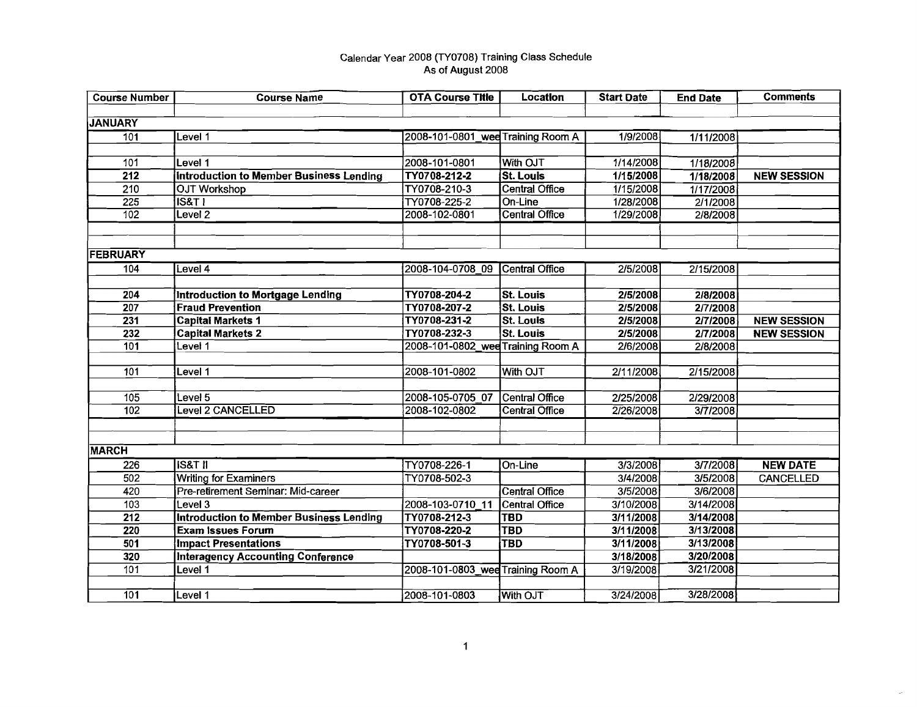| <b>Course Number</b> | <b>Course Name</b>                             | <b>OTA Course Title</b>           | <b>Location</b>       | <b>Start Date</b> | <b>End Date</b> | <b>Comments</b>    |
|----------------------|------------------------------------------------|-----------------------------------|-----------------------|-------------------|-----------------|--------------------|
|                      |                                                |                                   |                       |                   |                 |                    |
| <b>JANUARY</b>       |                                                |                                   |                       |                   |                 |                    |
| 101                  | Level 1                                        | 2008-101-0801_wee Training Room A |                       | 1/9/2008          | 1/11/2008       |                    |
|                      |                                                |                                   |                       |                   |                 |                    |
| 101                  | Level 1                                        | 2008-101-0801                     | With OJT              | 1/14/2008         | 1/18/2008       |                    |
| $\overline{212}$     | <b>Introduction to Member Business Lending</b> | TY0708-212-2                      | <b>St. Louis</b>      | 1/15/2008         | 1/18/2008       | <b>NEW SESSION</b> |
| 210                  | <b>OJT Workshop</b>                            | TY0708-210-3                      | <b>Central Office</b> | 1/15/2008         | 1/17/2008       |                    |
| 225                  | IS&T                                           | TY0708-225-2                      | On-Line               | 1/28/2008         | 2/1/2008        |                    |
| 102                  | Level $2$                                      | 2008-102-0801                     | <b>Central Office</b> | 1/29/2008         | 2/8/2008        |                    |
|                      |                                                |                                   |                       |                   |                 |                    |
|                      |                                                |                                   |                       |                   |                 |                    |
| <b>FEBRUARY</b>      |                                                |                                   |                       |                   |                 |                    |
| $\overline{104}$     | Level 4                                        | 2008-104-0708 09 Central Office   |                       | 2/5/2008          | 2/15/2008       |                    |
|                      |                                                |                                   |                       |                   |                 |                    |
| $\overline{204}$     | <b>Introduction to Mortgage Lending</b>        | TY0708-204-2                      | <b>St. Louis</b>      | 2/5/2008          | 2/8/2008        |                    |
| $\overline{207}$     | <b>Fraud Prevention</b>                        | TY0708-207-2                      | St. Louis             | 2/5/2008          | 2/7/2008        |                    |
| 231                  | <b>Capital Markets 1</b>                       | TY0708-231-2                      | <b>St. Louis</b>      | 2/5/2008          | 2/7/2008        | <b>NEW SESSION</b> |
| 232                  | <b>Capital Markets 2</b>                       | TY0708-232-3                      | <b>St. Louis</b>      | 2/5/2008          | 2/7/2008        | <b>NEW SESSION</b> |
| 101                  | Level 1                                        | 2008-101-0802 wee Training Room A |                       | 2/6/2008          | 2/8/2008        |                    |
|                      |                                                |                                   |                       |                   |                 |                    |
| 101                  | Level 1                                        | 2008-101-0802                     | With OJT              | 2/11/2008         | 2/15/2008       |                    |
|                      |                                                |                                   |                       |                   |                 |                    |
| 105                  | Level 5                                        | 2008-105-0705 07                  | Central Office        | 2/25/2008         | 2/29/2008       |                    |
| 102                  | Level 2 CANCELLED                              | 2008-102-0802                     | <b>Central Office</b> | 2/26/2008         | 3/7/2008        |                    |
|                      |                                                |                                   |                       |                   |                 |                    |
|                      |                                                |                                   |                       |                   |                 |                    |
| <b>MARCH</b>         |                                                |                                   |                       |                   |                 |                    |
| 226                  | <b>IS&amp;T II</b>                             | TY0708-226-1                      | On-Line               | 3/3/2008          | 3/7/2008        | <b>NEW DATE</b>    |
| 502                  | <b>Writing for Examiners</b>                   | TY0708-502-3                      |                       | 3/4/2008          | 3/5/2008        | CANCELLED          |
| 420                  | Pre-retirement Seminar: Mid-career             |                                   | Central Office        | 3/5/2008          | 3/6/2008        |                    |
| $\overline{103}$     | Level 3                                        | 2008-103-0710 11                  | Central Office        | 3/10/2008         | 3/14/2008       |                    |
| $\overline{212}$     | <b>Introduction to Member Business Lending</b> | TY0708-212-3                      | <b>TBD</b>            | 3/11/2008         | 3/14/2008       |                    |
| 220                  | <b>Exam Issues Forum</b>                       | TY0708-220-2                      | <b>TBD</b>            | 3/11/2008         | 3/13/2008       |                    |
| 501                  | <b>Impact Presentations</b>                    | TY0708-501-3                      | <b>TBD</b>            | 3/11/2008         | 3/13/2008       |                    |
| 320                  | <b>Interagency Accounting Conference</b>       |                                   |                       | 3/18/2008         | 3/20/2008       |                    |
| 101                  | Level 1                                        | 2008-101-0803 wee Training Room A |                       | 3/19/2008         | 3/21/2008       |                    |
|                      |                                                |                                   |                       |                   |                 |                    |
| 101                  | Level 1                                        | 2008-101-0803                     | <b>With OJT</b>       | 3/24/2008         | 3/28/2008       |                    |

 $\mathcal{L}^{\mathcal{L}}$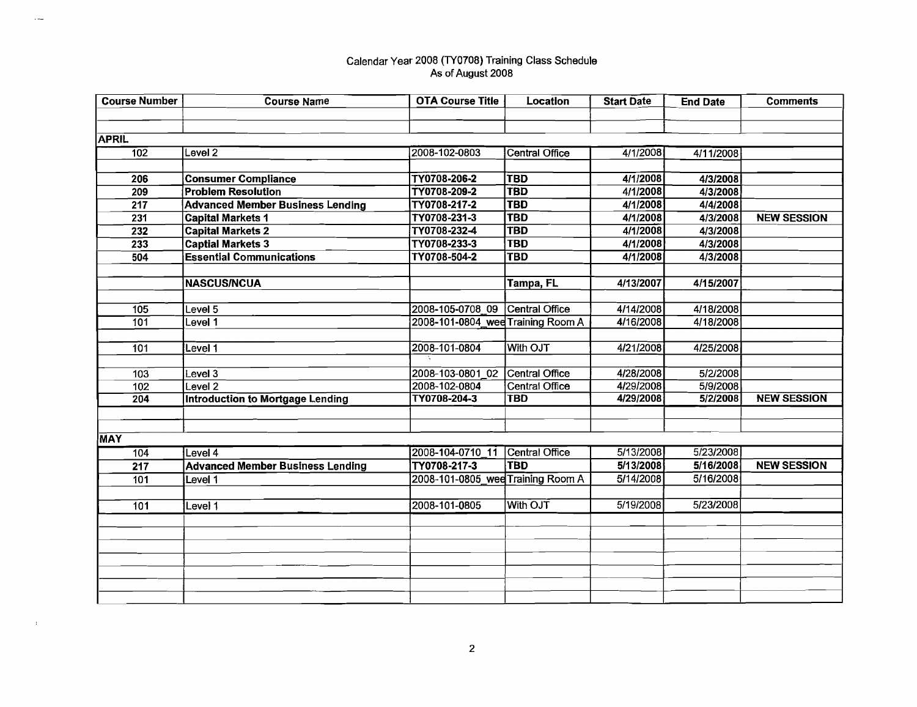$\bar{z}$ 

 $\sim 3\%$ 

| <b>Course Number</b> | <b>Course Name</b>                      | <b>OTA Course Title</b>           | Location              | <b>Start Date</b> | <b>End Date</b> | <b>Comments</b>    |
|----------------------|-----------------------------------------|-----------------------------------|-----------------------|-------------------|-----------------|--------------------|
|                      |                                         |                                   |                       |                   |                 |                    |
|                      |                                         |                                   |                       |                   |                 |                    |
| <b>APRIL</b>         |                                         |                                   |                       |                   |                 |                    |
| $\overline{102}$     | Level <sub>2</sub>                      | 2008-102-0803                     | Central Office        | 4/1/2008          | 4/11/2008       |                    |
|                      |                                         |                                   |                       |                   |                 |                    |
| 206                  | <b>Consumer Compliance</b>              | TY0708-206-2                      | <b>TBD</b>            | 4/1/2008          | 4/3/2008        |                    |
| 209                  | <b>Problem Resolution</b>               | TY0708-209-2                      | <b>TBD</b>            | 4/1/2008          | 4/3/2008        |                    |
| 217                  | <b>Advanced Member Business Lending</b> | TY0708-217-2                      | <b>TBD</b>            | 4/1/2008          | 4/4/2008        |                    |
| 231                  | <b>Capital Markets 1</b>                | TY0708-231-3                      | <b>TBD</b>            | 4/1/2008          | 4/3/2008        | <b>NEW SESSION</b> |
| 232                  | <b>Capital Markets 2</b>                | TY0708-232-4                      | <b>TBD</b>            | 4/1/2008          | 4/3/2008        |                    |
| 233                  | <b>Captial Markets 3</b>                | TY0708-233-3                      | <b>TBD</b>            | 4/1/2008          | 4/3/2008        |                    |
| 504                  | <b>Essential Communications</b>         | TY0708-504-2                      | <b>TBD</b>            | 4/1/2008          | 4/3/2008        |                    |
|                      |                                         |                                   |                       |                   |                 |                    |
|                      | <b>NASCUS/NCUA</b>                      |                                   | Tampa, FL             | 4/13/2007         | 4/15/2007       |                    |
|                      |                                         |                                   |                       |                   |                 |                    |
| 105                  | evel <sub>5</sub>                       | 2008-105-0708 09 Central Office   |                       | 4/14/2008         | 4/18/2008       |                    |
| 101                  | evel <sub>1</sub>                       | 2008-101-0804_wee Training Room A |                       | 4/16/2008         | 4/18/2008       |                    |
|                      |                                         |                                   |                       |                   |                 |                    |
| $\overline{101}$     | Level 1                                 | 2008-101-0804                     | With OJT              | 4/21/2008         | 4/25/2008       |                    |
|                      |                                         |                                   |                       |                   |                 |                    |
| 103                  | Level $3$                               | 2008-103-0801_02                  | Central Office        | 4/28/2008         | 5/2/2008        |                    |
| 102                  | Level 2                                 | 2008-102-0804                     | <b>Central Office</b> | 4/29/2008         | 5/9/2008        |                    |
| $\overline{204}$     | <b>Introduction to Mortgage Lending</b> | TY0708-204-3                      | <b>TBD</b>            | 4/29/2008         | 5/2/2008        | <b>NEW SESSION</b> |
|                      |                                         |                                   |                       |                   |                 |                    |
|                      |                                         |                                   |                       |                   |                 |                    |
| MAY                  |                                         |                                   |                       |                   |                 |                    |
| 104                  | Level 4                                 | 2008-104-0710_11                  | Central Office        | 5/13/2008         | 5/23/2008       |                    |
| 217                  | <b>Advanced Member Business Lending</b> | TY0708-217-3                      | TBD                   | 5/13/2008         | 5/16/2008       | <b>NEW SESSION</b> |
| 101                  | Level 1                                 | 2008-101-0805 wee Training Room A |                       | 5/14/2008         | 5/16/2008       |                    |
|                      |                                         |                                   |                       |                   |                 |                    |
| 101                  | Level 1                                 | 2008-101-0805                     | With OJT              | 5/19/2008         | 5/23/2008       |                    |
|                      |                                         |                                   |                       |                   |                 |                    |
|                      |                                         |                                   |                       |                   |                 |                    |
|                      |                                         |                                   |                       |                   |                 |                    |
|                      |                                         |                                   |                       |                   |                 |                    |
|                      |                                         |                                   |                       |                   |                 |                    |
|                      |                                         |                                   |                       |                   |                 |                    |
|                      |                                         |                                   |                       |                   |                 |                    |

2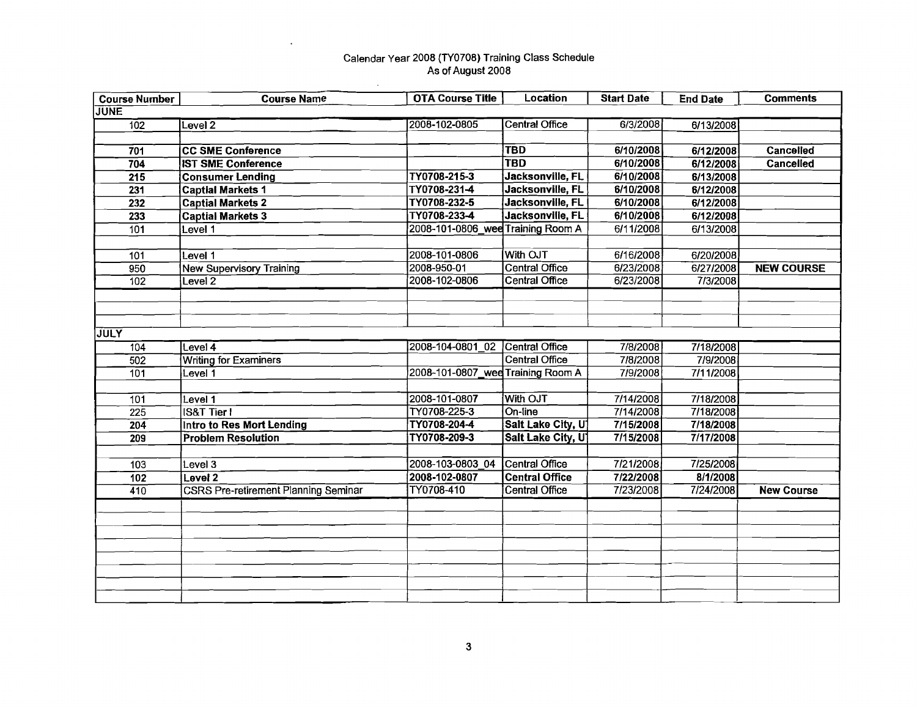$\sim$ 

 $\ddot{\phantom{a}}$ 

| <b>Course Number</b> | <b>Course Name</b>                          | <b>OTA Course Title</b>           | <b>Location</b>       | <b>Start Date</b> | <b>End Date</b> | <b>Comments</b>   |
|----------------------|---------------------------------------------|-----------------------------------|-----------------------|-------------------|-----------------|-------------------|
| <b>JUNE</b>          |                                             |                                   |                       |                   |                 |                   |
| 102                  | Level <sub>2</sub>                          | 2008-102-0805                     | Central Office        | 6/3/2008          | 6/13/2008       |                   |
|                      |                                             |                                   |                       |                   |                 |                   |
| 701                  | <b>CC SME Conference</b>                    |                                   | <b>TBD</b>            | 6/10/2008         | 6/12/2008       | <b>Cancelled</b>  |
| $\overline{704}$     | <b>IST SME Conference</b>                   |                                   | <b>TBD</b>            | 6/10/2008         | 6/12/2008       | <b>Cancelled</b>  |
| 215                  | <b>Consumer Lending</b>                     | TY0708-215-3                      | Jacksonville, FL      | 6/10/2008         | 6/13/2008       |                   |
| 231                  | <b>Captial Markets 1</b>                    | TY0708-231-4                      | Jacksonville, FL      | 6/10/2008         | 6/12/2008       |                   |
| 232                  | <b>Captial Markets 2</b>                    | TY0708-232-5                      | Jacksonville, FL      | 6/10/2008         | 6/12/2008       |                   |
| 233                  | <b>Captial Markets 3</b>                    | TY0708-233-4                      | Jacksonville, FL      | 6/10/2008         | 6/12/2008       |                   |
| 101                  | Level 1                                     | 2008-101-0806_wee Training Room A |                       | 6/11/2008         | 6/13/2008       |                   |
|                      |                                             |                                   |                       |                   |                 |                   |
| 101                  | Level 1                                     | 2008-101-0806                     | With OJT              | 6/16/2008         | 6/20/2008       |                   |
| 950                  | <b>New Supervisory Training</b>             | 2008-950-01                       | <b>Central Office</b> | 6/23/2008         | 6/27/2008       | <b>NEW COURSE</b> |
| 102                  | Level $\overline{2}$                        | 2008-102-0806                     | <b>Central Office</b> | 6/23/2008         | 7/3/2008        |                   |
|                      |                                             |                                   |                       |                   |                 |                   |
|                      |                                             |                                   |                       |                   |                 |                   |
|                      |                                             |                                   |                       |                   |                 |                   |
| <b>JULY</b>          |                                             |                                   |                       |                   |                 |                   |
| $\overline{104}$     | Level $\bar{4}$                             | 2008-104-0801 02                  | Central Office        | 7/8/2008          | 7/18/2008       |                   |
| 502                  | <b>Writing for Examiners</b>                |                                   | Central Office        | 7/8/2008          | 7/9/2008        |                   |
| 101                  | Level 1                                     | 2008-101-0807_wee Training Room A |                       | 7/9/2008          | 7/11/2008       |                   |
|                      |                                             |                                   |                       |                   |                 |                   |
| 101                  | Level 1                                     | 2008-101-0807                     | With OJT              | 7/14/2008         | 7/18/2008       |                   |
| 225                  | <b>IS&amp;T Tier I</b>                      | TY0708-225-3                      | On-line               | 7/14/2008         | 7/18/2008       |                   |
| $\overline{204}$     | <b>Intro to Res Mort Lending</b>            | TY0708-204-4                      | Salt Lake City, U     | 7/15/2008         | 7/18/2008       |                   |
| 209                  | <b>Problem Resolution</b>                   | TY0708-209-3                      | Salt Lake City, U     | 7/15/2008         | 7/17/2008       |                   |
|                      |                                             |                                   |                       |                   |                 |                   |
| 103                  | Level 3                                     | 2008-103-0803 04                  | Central Office        | 7/21/2008         | 7/25/2008       |                   |
| $\overline{102}$     | Level 2                                     | 2008-102-0807                     | <b>Central Office</b> | 7/22/2008         | 8/1/2008        |                   |
| 410                  | <b>CSRS Pre-retirement Planning Seminar</b> | TY0708-410                        | <b>Central Office</b> | 7/23/2008         | 7/24/2008       | <b>New Course</b> |
|                      |                                             |                                   |                       |                   |                 |                   |
|                      |                                             |                                   |                       |                   |                 |                   |
|                      |                                             |                                   |                       |                   |                 |                   |
|                      |                                             |                                   |                       |                   |                 |                   |
|                      |                                             |                                   |                       |                   |                 |                   |
|                      |                                             |                                   |                       |                   |                 |                   |
|                      |                                             |                                   |                       |                   |                 |                   |
|                      |                                             |                                   |                       |                   |                 |                   |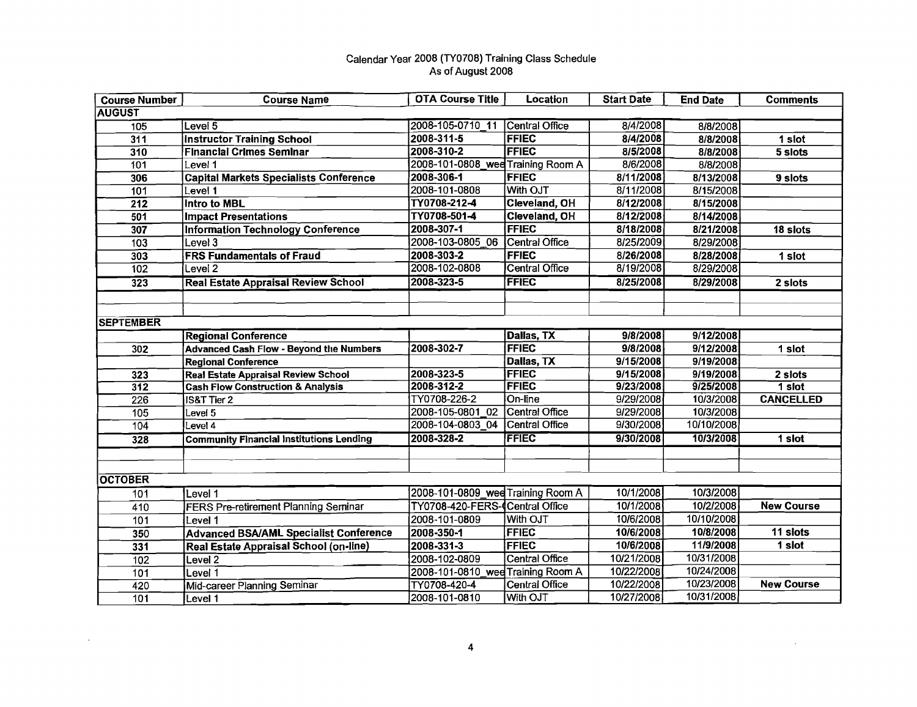| <b>Course Number</b> | <b>Course Name</b>                              | <b>OTA Course Title</b>           | <b>Location</b>       | <b>Start Date</b> | <b>End Date</b> | <b>Comments</b>   |
|----------------------|-------------------------------------------------|-----------------------------------|-----------------------|-------------------|-----------------|-------------------|
| <b>AUGUST</b>        |                                                 |                                   |                       |                   |                 |                   |
| 105                  | Level 5                                         | 2008-105-0710 11                  | Central Office        | 8/4/2008          | 8/8/2008        |                   |
| 311                  | <b>Instructor Training School</b>               | 2008-311-5                        | <b>FFIEC</b>          | 8/4/2008          | 8/8/2008        | 1 slot            |
| 310                  | <b>Financial Crimes Seminar</b>                 | 2008-310-2                        | <b>FFIEC</b>          | 8/5/2008          | 8/8/2008        | 5 slots           |
| 101                  | Level 1                                         | 2008-101-0808_wee Training Room A |                       | 8/6/2008          | 8/8/2008        |                   |
| 306                  | <b>Capital Markets Specialists Conference</b>   | 2008-306-1                        | <b>FFIEC</b>          | 8/11/2008         | 8/13/2008       | 9 slots           |
| 101                  | Level 1                                         | 2008-101-0808                     | With OJT              | 8/11/2008         | 8/15/2008       |                   |
| 212                  | <b>Intro to MBL</b>                             | TY0708-212-4                      | Cleveland, OH         | 8/12/2008         | 8/15/2008       |                   |
| 501                  | <b>Impact Presentations</b>                     | TY0708-501-4                      | Cleveland, OH         | 8/12/2008         | 8/14/2008       |                   |
| 307                  | <b>Information Technology Conference</b>        | 2008-307-1                        | <b>FFIEC</b>          | 8/18/2008         | 8/21/2008       | 18 slots          |
| 103                  | Level 3                                         | 2008-103-0805 06                  | Central Office        | 8/25/2009         | 8/29/2008       |                   |
| 303                  | <b>FRS Fundamentals of Fraud</b>                | 2008-303-2                        | <b>FFIEC</b>          | 8/26/2008         | 8/28/2008       | 1 slot            |
| 102                  | Level <sub>2</sub>                              | 2008-102-0808                     | <b>Central Office</b> | 8/19/2008         | 8/29/2008       |                   |
| 323                  | <b>Real Estate Appraisal Review School</b>      | 2008-323-5                        | <b>FFIEC</b>          | 8/25/2008         | 8/29/2008       | 2 slots           |
|                      |                                                 |                                   |                       |                   |                 |                   |
|                      |                                                 |                                   |                       |                   |                 |                   |
| <b>SEPTEMBER</b>     |                                                 |                                   |                       |                   |                 |                   |
|                      | <b>Regional Conference</b>                      |                                   | Dallas, TX            | 9/8/2008          | 9/12/2008       |                   |
| 302                  | <b>Advanced Cash Flow - Beyond the Numbers</b>  | 2008-302-7                        | <b>FFIEC</b>          | 9/8/2008          | 9/12/2008       | 1 slot            |
|                      | <b>Regional Conference</b>                      |                                   | Dallas, TX            | 9/15/2008         | 9/19/2008       |                   |
| 323                  | Real Estate Appraisal Review School             | 2008-323-5                        | <b>FFIEC</b>          | 9/15/2008         | 9/19/2008       | 2 slots           |
| $\overline{312}$     | <b>Cash Flow Construction &amp; Analysis</b>    | 2008-312-2                        | <b>FFIEC</b>          | 9/23/2008         | 9/25/2008       | $1$ slot          |
| $\overline{226}$     | IS&T Tier 2                                     | TY0708-226-2                      | On-line               | 9/29/2008         | 10/3/2008       | <b>CANCELLED</b>  |
| $\overline{105}$     | Level 5                                         | 2008-105-0801 02                  | Central Office        | 9/29/2008         | 10/3/2008       |                   |
| 104                  | Level 4                                         | 2008-104-0803_04                  | Central Office        | 9/30/2008         | 10/10/2008      |                   |
| 328                  | <b>Community Financial Institutions Lending</b> | 2008-328-2                        | FFIEC                 | 9/30/2008         | 10/3/2008       | 1 slot            |
|                      |                                                 |                                   |                       |                   |                 |                   |
|                      |                                                 |                                   |                       |                   |                 |                   |
| <b>OCTOBER</b>       |                                                 |                                   |                       |                   |                 |                   |
| 101                  | Level 1                                         | 2008-101-0809 wee Training Room A |                       | 10/1/2008         | 10/3/2008       |                   |
| 410                  | <b>FERS Pre-retirement Planning Seminar</b>     | TY0708-420-FERS-(Central Office   |                       | 10/1/2008         | 10/2/2008       | <b>New Course</b> |
| 101                  | Level $\overline{\mathbb{1}}$                   | 2008-101-0809                     | With OJT              | 10/6/2008         | 10/10/2008      |                   |
| 350                  | <b>Advanced BSA/AML Specialist Conference</b>   | 2008-350-1                        | <b>FFIEC</b>          | 10/6/2008         | 10/8/2008       | $11$ slots        |
| 331                  | Real Estate Appraisal School (on-line)          | 2008-331-3                        | <b>FFIEC</b>          | 10/6/2008         | 11/9/2008       | 1 slot            |
| 102                  | Level <sub>2</sub>                              | 2008-102-0809                     | <b>Central Office</b> | 10/21/2008        | 10/31/2008      |                   |
| 101                  | Level 1                                         | 2008-101-0810 wee Training Room A |                       | 10/22/2008        | 10/24/2008      |                   |
| 420                  | Mid-career Planning Seminar                     | TY0708-420-4                      | <b>Central Office</b> | 10/22/2008        | 10/23/2008      | <b>New Course</b> |
| 101                  | Level 1                                         | 2008-101-0810                     | With OJT              | 10/27/2008        | 10/31/2008      |                   |

 $\sim$ 

 $\langle \cdot \rangle$